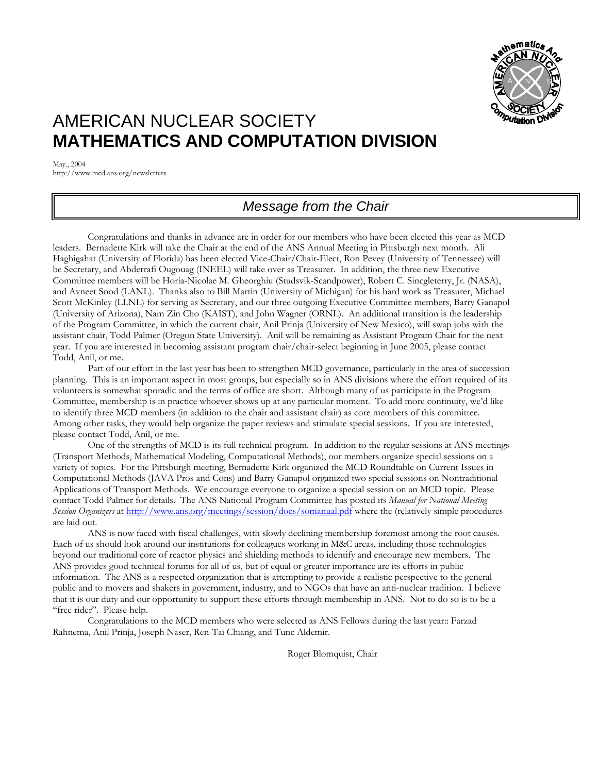

# AMERICAN NUCLEAR SOCIETY **MATHEMATICS AND COMPUTATION DIVISION**

May., 2004 http://www.mcd.ans.org/newsletters

## *Message from the Chair*

Congratulations and thanks in advance are in order for our members who have been elected this year as MCD leaders. Bernadette Kirk will take the Chair at the end of the ANS Annual Meeting in Pittsburgh next month. Ali Haghigahat (University of Florida) has been elected Vice-Chair/Chair-Elect, Ron Pevey (University of Tennessee) will be Secretary, and Abderrafi Ougouag (INEEL) will take over as Treasurer. In addition, the three new Executive Committee members will be Horia-Nicolae M. Gheorghiu (Studsvik-Scandpower), Robert C. Sincgleterry, Jr. (NASA), and Avneet Sood (LANL). Thanks also to Bill Martin (University of Michigan) for his hard work as Treasurer, Michael Scott McKinley (LLNL) for serving as Secretary, and our three outgoing Executive Committee members, Barry Ganapol (University of Arizona), Nam Zin Cho (KAIST), and John Wagner (ORNL). An additional transition is the leadership of the Program Committee, in which the current chair, Anil Prinja (University of New Mexico), will swap jobs with the assistant chair, Todd Palmer (Oregon State University). Anil will be remaining as Assistant Program Chair for the next year. If you are interested in becoming assistant program chair/chair-select beginning in June 2005, please contact Todd, Anil, or me.

Part of our effort in the last year has been to strengthen MCD governance, particularly in the area of succession planning. This is an important aspect in most groups, but especially so in ANS divisions where the effort required of its volunteers is somewhat sporadic and the terms of office are short. Although many of us participate in the Program Committee, membership is in practice whoever shows up at any particular moment. To add more continuity, we'd like to identify three MCD members (in addition to the chair and assistant chair) as core members of this committee. Among other tasks, they would help organize the paper reviews and stimulate special sessions. If you are interested, please contact Todd, Anil, or me.

One of the strengths of MCD is its full technical program. In addition to the regular sessions at ANS meetings (Transport Methods, Mathematical Modeling, Computational Methods), our members organize special sessions on a variety of topics. For the Pittsburgh meeting, Bernadette Kirk organized the MCD Roundtable on Current Issues in Computational Methods (JAVA Pros and Cons) and Barry Ganapol organized two special sessions on Nontraditional Applications of Transport Methods. We encourage everyone to organize a special session on an MCD topic. Please contact Todd Palmer for details. The ANS National Program Committee has posted its *Manual for National Meeting Session Organizers* at<http://www.ans.org/meetings/session/docs/somanual.pdf>where the (relatively simple procedures are laid out.

ANS is now faced with fiscal challenges, with slowly declining membership foremost among the root causes. Each of us should look around our institutions for colleagues working in M&C areas, including those technologies beyond our traditional core of reactor physics and shielding methods to identify and encourage new members. The ANS provides good technical forums for all of us, but of equal or greater importance are its efforts in public information. The ANS is a respected organization that is attempting to provide a realistic perspective to the general public and to movers and shakers in government, industry, and to NGOs that have an anti-nuclear tradition. I believe that it is our duty and our opportunity to support these efforts through membership in ANS. Not to do so is to be a "free rider". Please help.

Congratulations to the MCD members who were selected as ANS Fellows during the last year:: Farzad Rahnema, Anil Prinja, Joseph Naser, Ren-Tai Chiang, and Tunc Aldemir.

Roger Blomquist, Chair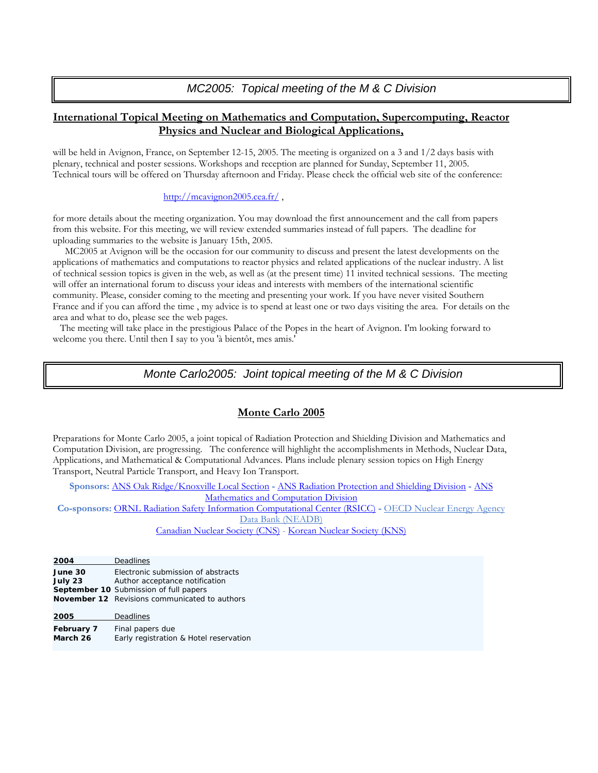*MC2005: Topical meeting of the M & C Division*

## **International Topical Meeting on Mathematics and Computation, Supercomputing, Reactor Physics and Nuclear and Biological Applications,**

will be held in Avignon, France, on September 12-15, 2005. The meeting is organized on a 3 and 1/2 days basis with plenary, technical and poster sessions. Workshops and reception are planned for Sunday, September 11, 2005. Technical tours will be offered on Thursday afternoon and Friday. Please check the official web site of the conference:

#### http://mcavignon2005.cea.fr/,

for more details about the meeting organization. You may download the first announcement and the call from papers from this website. For this meeting, we will review extended summaries instead of full papers. The deadline for uploading summaries to the website is January 15th, 2005.

 MC2005 at Avignon will be the occasion for our community to discuss and present the latest developments on the applications of mathematics and computations to reactor physics and related applications of the nuclear industry. A list of technical session topics is given in the web, as well as (at the present time) 11 invited technical sessions. The meeting will offer an international forum to discuss your ideas and interests with members of the international scientific community. Please, consider coming to the meeting and presenting your work. If you have never visited Southern France and if you can afford the time , my advice is to spend at least one or two days visiting the area. For details on the area and what to do, please see the web pages.

 The meeting will take place in the prestigious Palace of the Popes in the heart of Avignon. I'm looking forward to welcome you there. Until then I say to you 'à bientôt, mes amis.'

### **[Provided by Richard Sanchez, Nominating Committee Chair]** *Monte Carlo2005: Joint topical meeting of the M & C Division*

#### **Monte Carlo 2005**

Preparations for Monte Carlo 2005, a joint topical of Radiation Protection and Shielding Division and Mathematics and Computation Division, are progressing. The conference will highlight the accomplishments in Methods, Nuclear Data, Applications, and Mathematical & Computational Advances. Plans include plenary session topics on High Energy Transport, Neutral Particle Transport, and Heavy Ion Transport.

**Sponsors:** [ANS Oak Ridge/Knoxville Local Section](http://www.engr.utk.edu/org/ans/) **-** [ANS Radiation Protection and Shielding Division](http://www-rsicc.ornl.gov/rpsd/RPSD.html) **-** [ANS](http://www.mcd.ans.org/)  [Mathematics and Computation Division](http://www.mcd.ans.org/)

**Co-sponsors:** [ORNL Radiation Safety Information Computational Center \(RSICC\)](http://www-rsicc.ornl.gov/rsicc.html) **-** OECD Nuclear Energy Agency Data Bank (NEADB)

[Canadian Nuclear Society \(CNS\)](http://www.cns-snc.ca/) - [Korean Nuclear Society \(KNS\)](http://www.nuclear.or.kr/)

**2004** Deadlines **June 30** Electronic submission of abstracts **July 23** Author acceptance notification **September 10** Submission of full papers **November 12** Revisions communicated to authors **2005** Deadlines **February 7** Final papers due **March 26** Early registration & Hotel reservation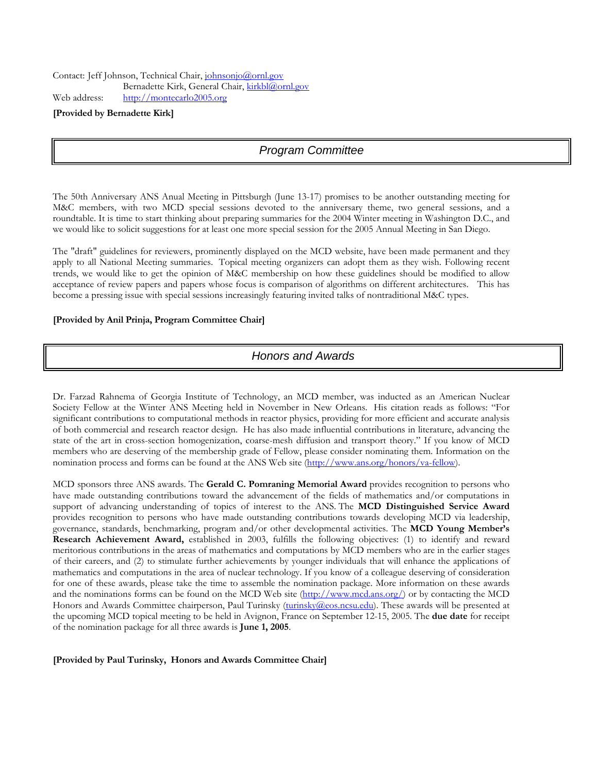#### **[Provided by Bernadette Kirk]**

## *Program Committee*

The 50th Anniversary ANS Anual Meeting in Pittsburgh (June 13-17) promises to be another outstanding meeting for M&C members, with two MCD special sessions devoted to the anniversary theme, two general sessions, and a roundtable. It is time to start thinking about preparing summaries for the 2004 Winter meeting in Washington D.C., and we would like to solicit suggestions for at least one more special session for the 2005 Annual Meeting in San Diego.

The "draft" guidelines for reviewers, prominently displayed on the MCD website, have been made permanent and they apply to all National Meeting summaries. Topical meeting organizers can adopt them as they wish. Following recent trends, we would like to get the opinion of M&C membership on how these guidelines should be modified to allow acceptance of review papers and papers whose focus is comparison of algorithms on different architectures. This has become a pressing issue with special sessions increasingly featuring invited talks of nontraditional M&C types.

#### **[Provided by Anil Prinja, Program Committee Chair]**

## *Honors and Awards*

Dr. Farzad Rahnema of Georgia Institute of Technology, an MCD member, was inducted as an American Nuclear Society Fellow at the Winter ANS Meeting held in November in New Orleans. His citation reads as follows: "For significant contributions to computational methods in reactor physics, providing for more efficient and accurate analysis of both commercial and research reactor design. He has also made influential contributions in literature, advancing the state of the art in cross-section homogenization, coarse-mesh diffusion and transport theory." If you know of MCD members who are deserving of the membership grade of Fellow, please consider nominating them. Information on the nomination process and forms can be found at the ANS Web site (http://www.ans.org/honors/va-fellow).

MCD sponsors three ANS awards. The **Gerald C. Pomraning Memorial Award** provides recognition to persons who have made outstanding contributions toward the advancement of the fields of mathematics and/or computations in support of advancing understanding of topics of interest to the ANS. The **MCD Distinguished Service Award** provides recognition to persons who have made outstanding contributions towards developing MCD via leadership, governance, standards, benchmarking, program and/or other developmental activities. The **MCD Young Member's Research Achievement Award,** established in 2003, fulfills the following objectives: (1) to identify and reward meritorious contributions in the areas of mathematics and computations by MCD members who are in the earlier stages of their careers, and (2) to stimulate further achievements by younger individuals that will enhance the applications of mathematics and computations in the area of nuclear technology. If you know of a colleague deserving of consideration for one of these awards, please take the time to assemble the nomination package. More information on these awards and the nominations forms can be found on the MCD Web site ([http://www.mcd.ans.org/\)](http://www.mcd.ans.org/) or by contacting the MCD Honors and Awards Committee chairperson, Paul Turinsky ([turinsky@eos.ncsu.edu](mailto:turinsky@eos.ncsu.edu)). These awards will be presented at the upcoming MCD topical meeting to be held in Avignon, France on September 12-15, 2005. The **due date** for receipt of the nomination package for all three awards is **June 1, 2005**.

**[Provided by Paul Turinsky, Honors and Awards Committee Chair]**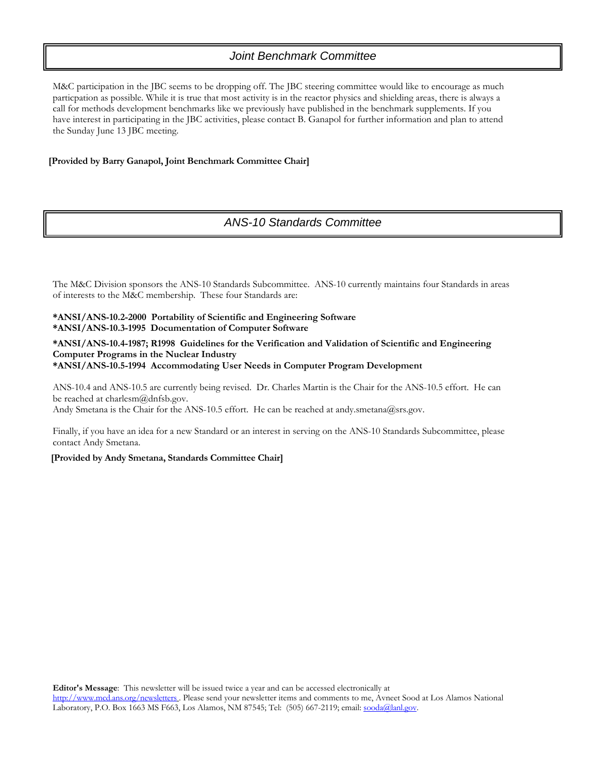## *Joint Benchmark Committee*

M&C participation in the JBC seems to be dropping off. The JBC steering committee would like to encourage as much particpation as possible. While it is true that most activity is in the reactor physics and shielding areas, there is always a call for methods development benchmarks like we previously have published in the benchmark supplements. If you have interest in participating in the JBC activities, please contact B. Ganapol for further information and plan to attend the Sunday June 13 JBC meeting.

#### **[Provided by Barry Ganapol, Joint Benchmark Committee Chair]**

## *ANS-10 Standards Committee*

The M&C Division sponsors the ANS-10 Standards Subcommittee. ANS-10 currently maintains four Standards in areas of interests to the M&C membership. These four Standards are:

#### **\*ANSI/ANS-10.2-2000 Portability of Scientific and Engineering Software \*ANSI/ANS-10.3-1995 Documentation of Computer Software**

#### **\*ANSI/ANS-10.4-1987; R1998 Guidelines for the Verification and Validation of Scientific and Engineering Computer Programs in the Nuclear Industry \*ANSI/ANS-10.5-1994 Accommodating User Needs in Computer Program Development**

ANS-10.4 and ANS-10.5 are currently being revised. Dr. Charles Martin is the Chair for the ANS-10.5 effort. He can be reached at charlesm@dnfsb.gov.

Andy Smetana is the Chair for the ANS-10.5 effort. He can be reached at andy.smetana@srs.gov.

Finally, if you have an idea for a new Standard or an interest in serving on the ANS-10 Standards Subcommittee, please contact Andy Smetana.

#### **[Provided by Andy Smetana, Standards Committee Chair]**